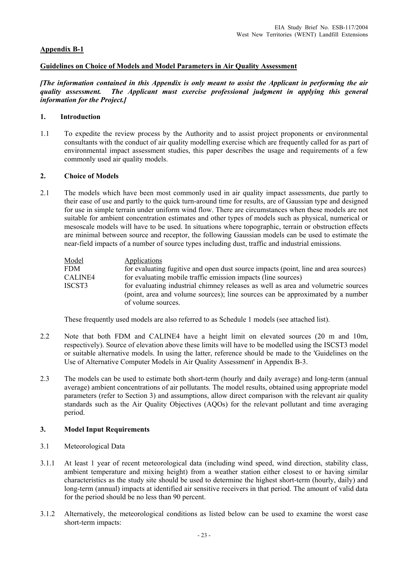# **Appendix B-1**

## **Guidelines on Choice of Models and Model Parameters in Air Quality Assessment**

*[The information contained in this Appendix is only meant to assist the Applicant in performing the air quality assessment. The Applicant must exercise professional judgment in applying this general information for the Project.]* 

## **1. Introduction**

1.1 To expedite the review process by the Authority and to assist project proponents or environmental consultants with the conduct of air quality modelling exercise which are frequently called for as part of environmental impact assessment studies, this paper describes the usage and requirements of a few commonly used air quality models.

## **2. Choice of Models**

2.1 The models which have been most commonly used in air quality impact assessments, due partly to their ease of use and partly to the quick turn-around time for results, are of Gaussian type and designed for use in simple terrain under uniform wind flow. There are circumstances when these models are not suitable for ambient concentration estimates and other types of models such as physical, numerical or mesoscale models will have to be used. In situations where topographic, terrain or obstruction effects are minimal between source and receptor, the following Gaussian models can be used to estimate the near-field impacts of a number of source types including dust, traffic and industrial emissions.

| for evaluating fugitive and open dust source impacts (point, line and area sources) |
|-------------------------------------------------------------------------------------|
|                                                                                     |
| for evaluating industrial chimney releases as well as area and volumetric sources   |
| (point, area and volume sources); line sources can be approximated by a number      |
|                                                                                     |

These frequently used models are also referred to as Schedule 1 models (see attached list).

- 2.2 Note that both FDM and CALINE4 have a height limit on elevated sources (20 m and 10m, respectively). Source of elevation above these limits will have to be modelled using the ISCST3 model or suitable alternative models. In using the latter, reference should be made to the 'Guidelines on the Use of Alternative Computer Models in Air Quality Assessment' in Appendix B-3.
- 2.3 The models can be used to estimate both short-term (hourly and daily average) and long-term (annual average) ambient concentrations of air pollutants. The model results, obtained using appropriate model parameters (refer to Section 3) and assumptions, allow direct comparison with the relevant air quality standards such as the Air Quality Objectives (AQOs) for the relevant pollutant and time averaging period.

# **3. Model Input Requirements**

- 3.1 Meteorological Data
- 3.1.1 At least 1 year of recent meteorological data (including wind speed, wind direction, stability class, ambient temperature and mixing height) from a weather station either closest to or having similar characteristics as the study site should be used to determine the highest short-term (hourly, daily) and long-term (annual) impacts at identified air sensitive receivers in that period. The amount of valid data for the period should be no less than 90 percent.
- 3.1.2 Alternatively, the meteorological conditions as listed below can be used to examine the worst case short-term impacts: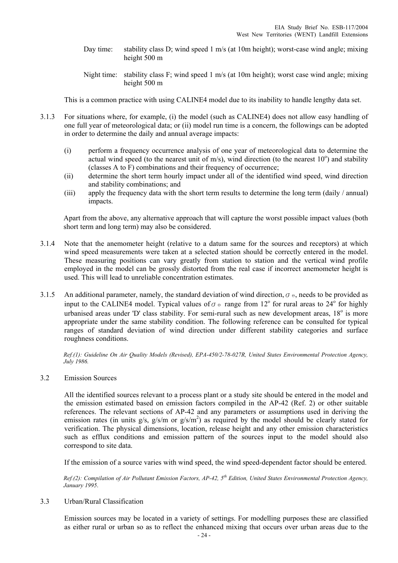- Day time: stability class D; wind speed 1 m/s (at 10m height); worst-case wind angle; mixing height 500 m
- Night time: stability class F; wind speed 1 m/s (at 10m height); worst case wind angle; mixing height 500 m

This is a common practice with using CALINE4 model due to its inability to handle lengthy data set.

- 3.1.3 For situations where, for example, (i) the model (such as CALINE4) does not allow easy handling of one full year of meteorological data; or (ii) model run time is a concern, the followings can be adopted in order to determine the daily and annual average impacts:
	- (i) perform a frequency occurrence analysis of one year of meteorological data to determine the actual wind speed (to the nearest unit of m/s), wind direction (to the nearest  $10^{\circ}$ ) and stability (classes A to F) combinations and their frequency of occurrence;
	- (ii) determine the short term hourly impact under all of the identified wind speed, wind direction and stability combinations; and
	- (iii) apply the frequency data with the short term results to determine the long term (daily / annual) impacts.

Apart from the above, any alternative approach that will capture the worst possible impact values (both short term and long term) may also be considered.

- 3.1.4 Note that the anemometer height (relative to a datum same for the sources and receptors) at which wind speed measurements were taken at a selected station should be correctly entered in the model. These measuring positions can vary greatly from station to station and the vertical wind profile employed in the model can be grossly distorted from the real case if incorrect anemometer height is used. This will lead to unreliable concentration estimates.
- 3.1.5 An additional parameter, namely, the standard deviation of wind direction,  $\sigma$   $\Theta$ , needs to be provided as input to the CALINE4 model. Typical values of  $\sigma \circ$  range from 12<sup>°</sup> for rural areas to 24<sup>°</sup> for highly urbanised areas under 'D' class stability. For semi-rural such as new development areas, 18° is more appropriate under the same stability condition. The following reference can be consulted for typical ranges of standard deviation of wind direction under different stability categories and surface roughness conditions.

*Ref.(1): Guideline On Air Quality Models (Revised), EPA-450/2-78-027R, United States Environmental Protection Agency, July 1986.* 

3.2 Emission Sources

 All the identified sources relevant to a process plant or a study site should be entered in the model and the emission estimated based on emission factors compiled in the AP-42 (Ref. 2) or other suitable references. The relevant sections of AP-42 and any parameters or assumptions used in deriving the emission rates (in units  $g/s$ ,  $g/s/m$  or  $g/s/m<sup>2</sup>$ ) as required by the model should be clearly stated for verification. The physical dimensions, location, release height and any other emission characteristics such as efflux conditions and emission pattern of the sources input to the model should also correspond to site data.

If the emission of a source varies with wind speed, the wind speed-dependent factor should be entered.

*Ref.(2): Compilation of Air Pollutant Emission Factors, AP-42, 5th Edition, United States Environmental Protection Agency, January 1995*.

3.3 Urban/Rural Classification

 Emission sources may be located in a variety of settings. For modelling purposes these are classified as either rural or urban so as to reflect the enhanced mixing that occurs over urban areas due to the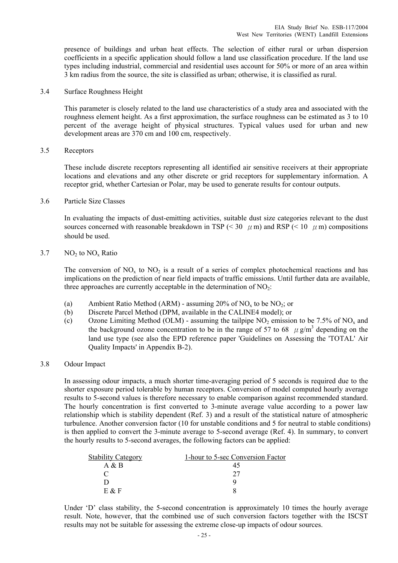presence of buildings and urban heat effects. The selection of either rural or urban dispersion coefficients in a specific application should follow a land use classification procedure. If the land use types including industrial, commercial and residential uses account for 50% or more of an area within 3 km radius from the source, the site is classified as urban; otherwise, it is classified as rural.

#### 3.4 Surface Roughness Height

 This parameter is closely related to the land use characteristics of a study area and associated with the roughness element height. As a first approximation, the surface roughness can be estimated as 3 to 10 percent of the average height of physical structures. Typical values used for urban and new development areas are 370 cm and 100 cm, respectively.

#### 3.5 Receptors

 These include discrete receptors representing all identified air sensitive receivers at their appropriate locations and elevations and any other discrete or grid receptors for supplementary information. A receptor grid, whether Cartesian or Polar, may be used to generate results for contour outputs.

3.6 Particle Size Classes

 In evaluating the impacts of dust-emitting activities, suitable dust size categories relevant to the dust sources concerned with reasonable breakdown in TSP (< 30  $\mu$  m) and RSP (< 10  $\mu$  m) compositions should be used.

## $3.7$  NO<sub>2</sub> to NO<sub>x</sub> Ratio

The conversion of  $NO_x$  to  $NO_2$  is a result of a series of complex photochemical reactions and has implications on the prediction of near field impacts of traffic emissions. Until further data are available, three approaches are currently acceptable in the determination of  $NO<sub>2</sub>$ :

- (a) Ambient Ratio Method (ARM) assuming 20% of NO<sub>x</sub> to be NO<sub>2</sub>; or
- (b) Discrete Parcel Method (DPM, available in the CALINE4 model); or
- (c) Ozone Limiting Method (OLM) assuming the tailpipe  $NO<sub>2</sub>$  emission to be 7.5% of  $NO<sub>x</sub>$  and the background ozone concentration to be in the range of 57 to 68  $\mu$  g/m<sup>3</sup> depending on the land use type (see also the EPD reference paper 'Guidelines on Assessing the 'TOTAL' Air Quality Impacts' in Appendix B-2).

## 3.8 Odour Impact

 In assessing odour impacts, a much shorter time-averaging period of 5 seconds is required due to the shorter exposure period tolerable by human receptors. Conversion of model computed hourly average results to 5-second values is therefore necessary to enable comparison against recommended standard. The hourly concentration is first converted to 3-minute average value according to a power law relationship which is stability dependent (Ref. 3) and a result of the statistical nature of atmospheric turbulence. Another conversion factor (10 for unstable conditions and 5 for neutral to stable conditions) is then applied to convert the 3-minute average to 5-second average (Ref. 4). In summary, to convert the hourly results to 5-second averages, the following factors can be applied:

| <b>Stability Category</b> | 1-hour to 5-sec Conversion Factor |
|---------------------------|-----------------------------------|
| Α&Β                       |                                   |
|                           |                                   |
|                           |                                   |
| $F \mathcal{R} F$         |                                   |

Under 'D' class stability, the 5-second concentration is approximately 10 times the hourly average result. Note, however, that the combined use of such conversion factors together with the ISCST results may not be suitable for assessing the extreme close-up impacts of odour sources.